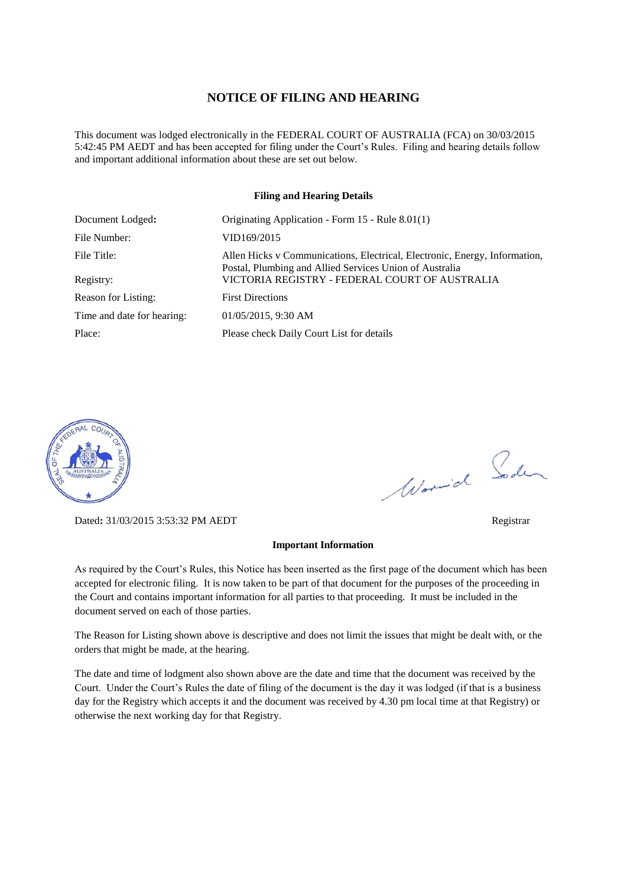### **NOTICE OF FILING AND HEARING**

This document was lodged electronically in the FEDERAL COURT OF AUSTRALIA (FCA) on 30/03/2015 5:42:45 PM AEDT and has been accepted for filing under the Court's Rules. Filing and hearing details follow and important additional information about these are set out below.

### **Filing and Hearing Details**

| Document Lodged:           | Originating Application - Form 15 - Rule 8.01(1)                                                                                      |
|----------------------------|---------------------------------------------------------------------------------------------------------------------------------------|
| File Number:               | VID169/2015                                                                                                                           |
| File Title:                | Allen Hicks v Communications, Electrical, Electronic, Energy, Information,<br>Postal, Plumbing and Allied Services Union of Australia |
| Registry:                  | VICTORIA REGISTRY - FEDERAL COURT OF AUSTRALIA                                                                                        |
| Reason for Listing:        | <b>First Directions</b>                                                                                                               |
| Time and date for hearing: | 01/05/2015, 9:30 AM                                                                                                                   |
| Place:                     | Please check Daily Court List for details                                                                                             |



Dated**:** 31/03/2015 3:53:32 PM AEDT Registrar

#### **Important Information**

As required by the Court's Rules, this Notice has been inserted as the first page of the document which has been accepted for electronic filing. It is now taken to be part of that document for the purposes of the proceeding in the Court and contains important information for all parties to that proceeding. It must be included in the document served on each of those parties.

The Reason for Listing shown above is descriptive and does not limit the issues that might be dealt with, or the orders that might be made, at the hearing.

The date and time of lodgment also shown above are the date and time that the document was received by the Court. Under the Court's Rules the date of filing of the document is the day it was lodged (if that is a business day for the Registry which accepts it and the document was received by 4.30 pm local time at that Registry) or otherwise the next working day for that Registry.

Word Soden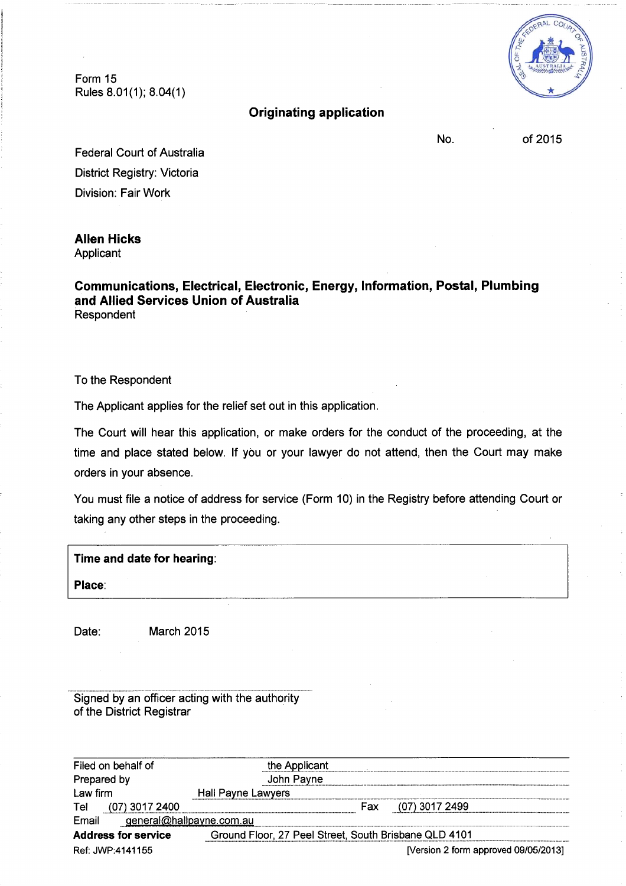Form 15 Rules 8.01(1); 8.04(1)

## **Originating application**

No.

of 2015

**Federal Court of Australia** District Registry: Victoria Division: Fair Work

# **Allen Hicks**

Applicant

Communications, Electrical, Electronic, Energy, Information, Postal, Plumbing and Allied Services Union of Australia Respondent

To the Respondent

The Applicant applies for the relief set out in this application.

The Court will hear this application, or make orders for the conduct of the proceeding, at the time and place stated below. If you or your lawyer do not attend, then the Court may make orders in your absence.

You must file a notice of address for service (Form 10) in the Registry before attending Court or taking any other steps in the proceeding.

| Time and date for hearing: |  |  |
|----------------------------|--|--|
| Place:                     |  |  |
|                            |  |  |

Date:

March 2015

Signed by an officer acting with the authority of the District Registrar

| Filed on behalf of                       | the Applicant                                         |  |
|------------------------------------------|-------------------------------------------------------|--|
| Prepared by                              | John Payne                                            |  |
| Law firm                                 | Hall Payne Lawyers                                    |  |
| (07) 3017 2400<br>Tel                    | Fax<br>(07) 3017 2499                                 |  |
| <u>general@hallpayne.com.au</u><br>Email |                                                       |  |
| <b>Address for service</b>               | Ground Floor, 27 Peel Street, South Brisbane QLD 4101 |  |
| Ref: JWP:4141155                         | [Version 2 form approved 09/05/2013]                  |  |